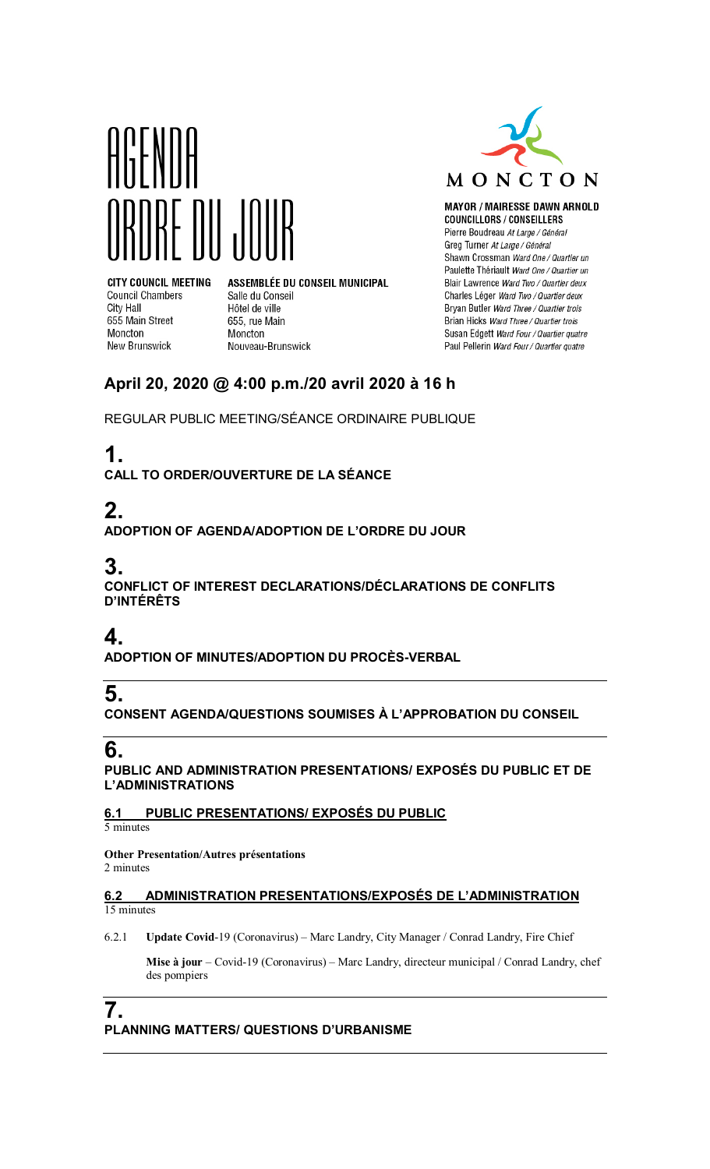



**MAYOR / MAIRESSE DAWN ARNOLD COUNCILLORS / CONSEILLERS** Pierre Boudreau At Large / Général Greg Turner At Large / Général Shawn Crossman Ward One / Quartier un Paulette Thériault Ward One / Quartier un Blair Lawrence Ward Two / Quartier deux Charles Léger Ward Two / Quartier deux Bryan Butler Ward Three / Quartier trois Brian Hicks Ward Three / Quartier trois Susan Edgett Ward Four / Quartier quatre Paul Pellerin Ward Four / Quartier quatre

**CITY COUNCIL MEETING Council Chambers** City Hall 655 Main Street Moncton **New Brunswick** 

ASSEMBLÉE DU CONSEIL MUNICIPAL Salle du Conseil Hôtel de ville 655, rue Main Moncton Nouveau-Brunswick

### **April 20, 2020 @ 4:00 p.m./20 avril 2020 à 16 h**

REGULAR PUBLIC MEETING/SÉANCE ORDINAIRE PUBLIQUE

# **1.**

**CALL TO ORDER/OUVERTURE DE LA SÉANCE**

# **2.**

**ADOPTION OF AGENDA/ADOPTION DE L'ORDRE DU JOUR**

# **3.**

**CONFLICT OF INTEREST DECLARATIONS/DÉCLARATIONS DE CONFLITS D'INTÉRÊTS**

## **4.**

**ADOPTION OF MINUTES/ADOPTION DU PROCÈS-VERBAL**

## **5.**

**CONSENT AGENDA/QUESTIONS SOUMISES À L'APPROBATION DU CONSEIL**

## **6.**

**PUBLIC AND ADMINISTRATION PRESENTATIONS/ EXPOSÉS DU PUBLIC ET DE L'ADMINISTRATIONS**

#### **6.1 PUBLIC PRESENTATIONS/ EXPOSÉS DU PUBLIC**

5 minutes

**Other Presentation/Autres présentations** 2 minutes

#### **6.2 ADMINISTRATION PRESENTATIONS/EXPOSÉS DE L'ADMINISTRATION** 15 minutes

6.2.1 **Update Covid**-19 (Coronavirus) – Marc Landry, City Manager / Conrad Landry, Fire Chief

**Mise à jour** – Covid-19 (Coronavirus) – Marc Landry, directeur municipal / Conrad Landry, chef des pompiers

#### **7. PLANNING MATTERS/ QUESTIONS D'URBANISME**